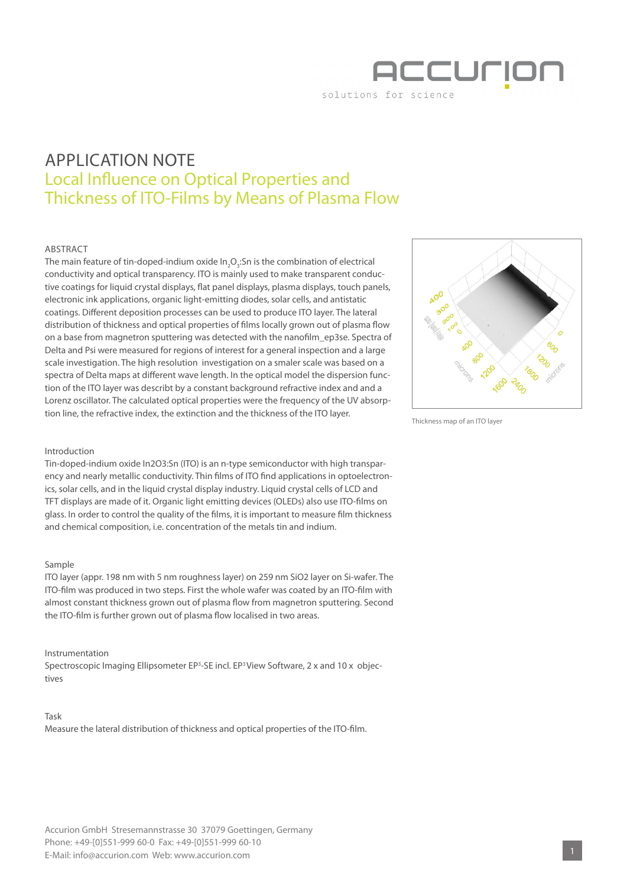

# APPLICATION NOTE Local Influence on Optical Properties and Thickness of ITO-Films by Means of Plasma Flow

## ABSTRACT

The main feature of tin-doped-indium oxide In $_{2}$ O<sub>3</sub>:Sn is the combination of electrical conductivity and optical transparency. ITO is mainly used to make transparent conductive coatings for liquid crystal displays, flat panel displays, plasma displays, touch panels, electronic ink applications, organic light-emitting diodes, solar cells, and antistatic coatings. Different deposition processes can be used to produce ITO layer. The lateral distribution of thickness and optical properties of films locally grown out of plasma flow on a base from magnetron sputtering was detected with the nanofilm\_ep3se. Spectra of Delta and Psi were measured for regions of interest for a general inspection and a large scale investigation. The high resolution investigation on a smaler scale was based on a spectra of Delta maps at different wave length. In the optical model the dispersion function of the ITO layer was describt by a constant background refractive index and and a Lorenz oscillator. The calculated optical properties were the frequency of the UV absorption line, the refractive index, the extinction and the thickness of the ITO layer.



Thickness map of an ITO layer

#### Introduction

Tin-doped-indium oxide In2O3:Sn (ITO) is an n-type semiconductor with high transparency and nearly metallic conductivity. Thin films of ITO find applications in optoelectronics, solar cells, and in the liquid crystal display industry. Liquid crystal cells of LCD and TFT displays are made of it. Organic light emitting devices (OLEDs) also use ITO-films on glass. In order to control the quality of the films, it is important to measure film thickness and chemical composition, i.e. concentration of the metals tin and indium.

### Sample

ITO layer (appr. 198 nm with 5 nm roughness layer) on 259 nm SiO2 layer on Si-wafer. The ITO-film was produced in two steps. First the whole wafer was coated by an ITO-film with almost constant thickness grown out of plasma flow from magnetron sputtering. Second the ITO-film is further grown out of plasma flow localised in two areas.

#### Instrumentation

Spectroscopic Imaging Ellipsometer EP<sup>3</sup>-SE incl. EP<sup>3</sup>View Software, 2 x and 10 x objectives

#### Task

Measure the lateral distribution of thickness and optical properties of the ITO-film.